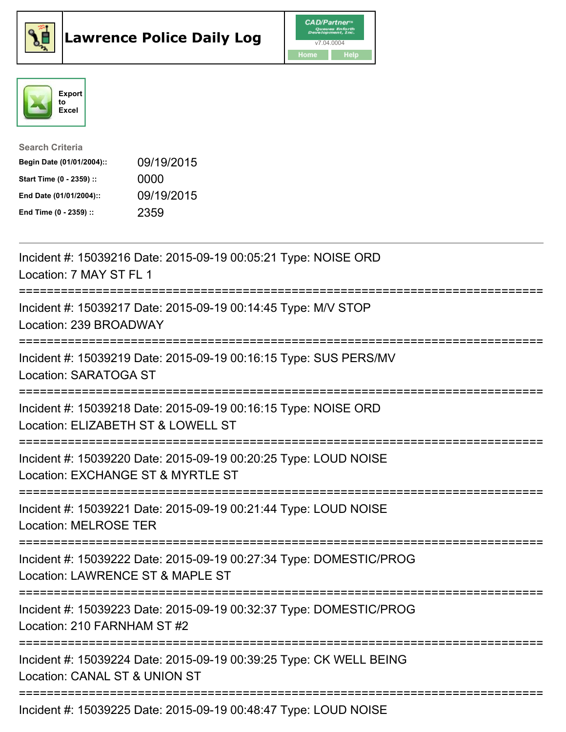





| <b>Search Criteria</b>    |            |
|---------------------------|------------|
| Begin Date (01/01/2004):: | 09/19/2015 |
| Start Time (0 - 2359) ::  | 0000       |
| End Date (01/01/2004)::   | 09/19/2015 |
| End Time (0 - 2359) ::    | 2359       |

| Incident #: 15039216 Date: 2015-09-19 00:05:21 Type: NOISE ORD<br>Location: 7 MAY ST FL 1                                                 |
|-------------------------------------------------------------------------------------------------------------------------------------------|
| Incident #: 15039217 Date: 2015-09-19 00:14:45 Type: M/V STOP<br>Location: 239 BROADWAY                                                   |
| Incident #: 15039219 Date: 2015-09-19 00:16:15 Type: SUS PERS/MV<br>Location: SARATOGA ST                                                 |
| Incident #: 15039218 Date: 2015-09-19 00:16:15 Type: NOISE ORD<br>Location: ELIZABETH ST & LOWELL ST<br>--------------------              |
| Incident #: 15039220 Date: 2015-09-19 00:20:25 Type: LOUD NOISE<br>Location: EXCHANGE ST & MYRTLE ST<br>==========================        |
| Incident #: 15039221 Date: 2015-09-19 00:21:44 Type: LOUD NOISE<br><b>Location: MELROSE TER</b><br>-------------------------------------- |
| Incident #: 15039222 Date: 2015-09-19 00:27:34 Type: DOMESTIC/PROG<br>Location: LAWRENCE ST & MAPLE ST<br>:==========================     |
| Incident #: 15039223 Date: 2015-09-19 00:32:37 Type: DOMESTIC/PROG<br>Location: 210 FARNHAM ST #2                                         |
| Incident #: 15039224 Date: 2015-09-19 00:39:25 Type: CK WELL BEING<br>Location: CANAL ST & UNION ST                                       |
| Incident #: 15039225 Date: 2015-09-19 00:48:47 Type: LOUD NOISE                                                                           |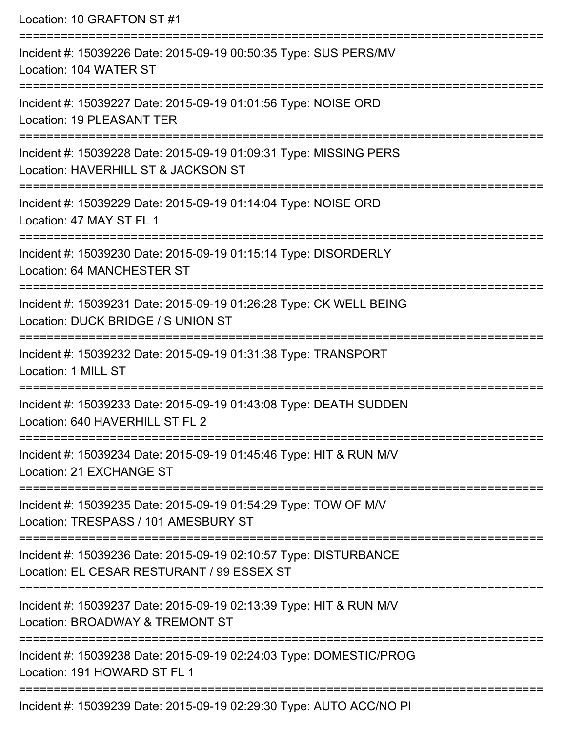Location: 10 GRAFTON ST #1 =========================================================================== Incident #: 15039226 Date: 2015-09-19 00:50:35 Type: SUS PERS/MV Location: 104 WATER ST =========================================================================== Incident #: 15039227 Date: 2015-09-19 01:01:56 Type: NOISE ORD Location: 19 PLEASANT TER =========================================================================== Incident #: 15039228 Date: 2015-09-19 01:09:31 Type: MISSING PERS Location: HAVERHILL ST & JACKSON ST =========================================================================== Incident #: 15039229 Date: 2015-09-19 01:14:04 Type: NOISE ORD Location: 47 MAY ST FL 1 =========================================================================== Incident #: 15039230 Date: 2015-09-19 01:15:14 Type: DISORDERLY Location: 64 MANCHESTER ST =========================================================================== Incident #: 15039231 Date: 2015-09-19 01:26:28 Type: CK WELL BEING Location: DUCK BRIDGE / S UNION ST =========================================================================== Incident #: 15039232 Date: 2015-09-19 01:31:38 Type: TRANSPORT Location: 1 MILL ST =========================================================================== Incident #: 15039233 Date: 2015-09-19 01:43:08 Type: DEATH SUDDEN Location: 640 HAVERHILL ST FL 2 =========================================================================== Incident #: 15039234 Date: 2015-09-19 01:45:46 Type: HIT & RUN M/V Location: 21 EXCHANGE ST =========================================================================== Incident #: 15039235 Date: 2015-09-19 01:54:29 Type: TOW OF M/V Location: TRESPASS / 101 AMESBURY ST =========================================================================== Incident #: 15039236 Date: 2015-09-19 02:10:57 Type: DISTURBANCE Location: EL CESAR RESTURANT / 99 ESSEX ST =========================================================================== Incident #: 15039237 Date: 2015-09-19 02:13:39 Type: HIT & RUN M/V Location: BROADWAY & TREMONT ST =========================================================================== Incident #: 15039238 Date: 2015-09-19 02:24:03 Type: DOMESTIC/PROG Location: 191 HOWARD ST FL 1 ===========================================================================

Incident #: 15039239 Date: 2015-09-19 02:29:30 Type: AUTO ACC/NO PI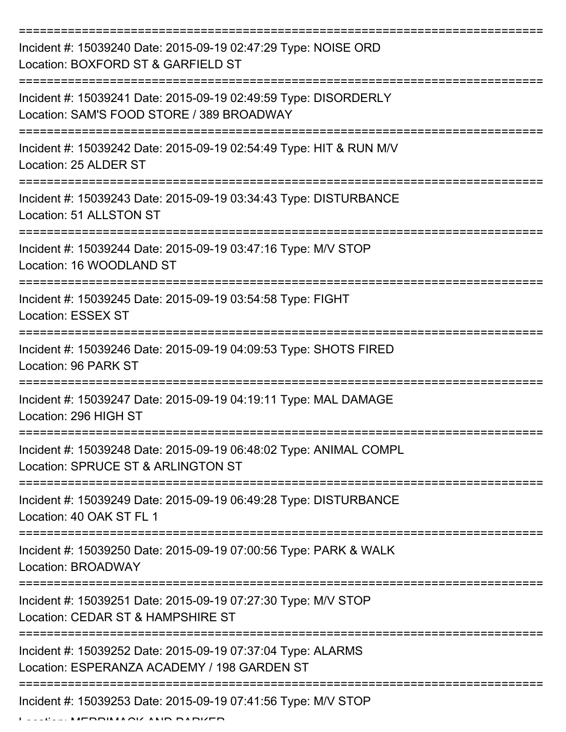| Incident #: 15039240 Date: 2015-09-19 02:47:29 Type: NOISE ORD<br>Location: BOXFORD ST & GARFIELD ST         |
|--------------------------------------------------------------------------------------------------------------|
| Incident #: 15039241 Date: 2015-09-19 02:49:59 Type: DISORDERLY<br>Location: SAM'S FOOD STORE / 389 BROADWAY |
| Incident #: 15039242 Date: 2015-09-19 02:54:49 Type: HIT & RUN M/V<br>Location: 25 ALDER ST                  |
| Incident #: 15039243 Date: 2015-09-19 03:34:43 Type: DISTURBANCE<br>Location: 51 ALLSTON ST                  |
| Incident #: 15039244 Date: 2015-09-19 03:47:16 Type: M/V STOP<br>Location: 16 WOODLAND ST                    |
| Incident #: 15039245 Date: 2015-09-19 03:54:58 Type: FIGHT<br><b>Location: ESSEX ST</b>                      |
| Incident #: 15039246 Date: 2015-09-19 04:09:53 Type: SHOTS FIRED<br>Location: 96 PARK ST                     |
| Incident #: 15039247 Date: 2015-09-19 04:19:11 Type: MAL DAMAGE<br>Location: 296 HIGH ST                     |
| Incident #: 15039248 Date: 2015-09-19 06:48:02 Type: ANIMAL COMPL<br>Location: SPRUCE ST & ARLINGTON ST      |
| Incident #: 15039249 Date: 2015-09-19 06:49:28 Type: DISTURBANCE<br>Location: 40 OAK ST FL 1                 |
| Incident #: 15039250 Date: 2015-09-19 07:00:56 Type: PARK & WALK<br>Location: BROADWAY                       |
| Incident #: 15039251 Date: 2015-09-19 07:27:30 Type: M/V STOP<br>Location: CEDAR ST & HAMPSHIRE ST           |
| Incident #: 15039252 Date: 2015-09-19 07:37:04 Type: ALARMS<br>Location: ESPERANZA ACADEMY / 198 GARDEN ST   |
| Incident #: 15039253 Date: 2015-09-19 07:41:56 Type: M/V STOP                                                |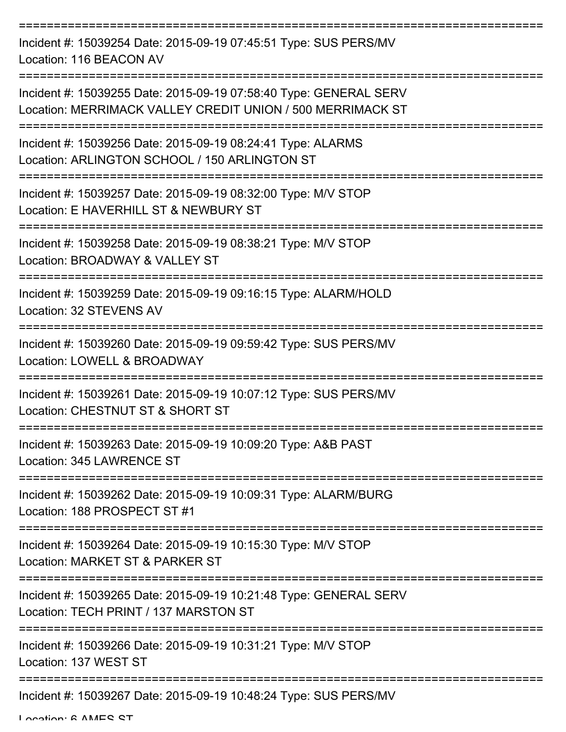| Incident #: 15039254 Date: 2015-09-19 07:45:51 Type: SUS PERS/MV<br>Location: 116 BEACON AV                                     |
|---------------------------------------------------------------------------------------------------------------------------------|
| Incident #: 15039255 Date: 2015-09-19 07:58:40 Type: GENERAL SERV<br>Location: MERRIMACK VALLEY CREDIT UNION / 500 MERRIMACK ST |
| Incident #: 15039256 Date: 2015-09-19 08:24:41 Type: ALARMS<br>Location: ARLINGTON SCHOOL / 150 ARLINGTON ST                    |
| Incident #: 15039257 Date: 2015-09-19 08:32:00 Type: M/V STOP<br>Location: E HAVERHILL ST & NEWBURY ST                          |
| Incident #: 15039258 Date: 2015-09-19 08:38:21 Type: M/V STOP<br>Location: BROADWAY & VALLEY ST                                 |
| Incident #: 15039259 Date: 2015-09-19 09:16:15 Type: ALARM/HOLD<br>Location: 32 STEVENS AV                                      |
| Incident #: 15039260 Date: 2015-09-19 09:59:42 Type: SUS PERS/MV<br>Location: LOWELL & BROADWAY                                 |
| Incident #: 15039261 Date: 2015-09-19 10:07:12 Type: SUS PERS/MV<br>Location: CHESTNUT ST & SHORT ST                            |
| Incident #: 15039263 Date: 2015-09-19 10:09:20 Type: A&B PAST<br>Location: 345 LAWRENCE ST                                      |
| Incident #: 15039262 Date: 2015-09-19 10:09:31 Type: ALARM/BURG<br>Location: 188 PROSPECT ST #1                                 |
| Incident #: 15039264 Date: 2015-09-19 10:15:30 Type: M/V STOP<br>Location: MARKET ST & PARKER ST                                |
| Incident #: 15039265 Date: 2015-09-19 10:21:48 Type: GENERAL SERV<br>Location: TECH PRINT / 137 MARSTON ST                      |
| Incident #: 15039266 Date: 2015-09-19 10:31:21 Type: M/V STOP<br>Location: 137 WEST ST                                          |
| Incident #: 15039267 Date: 2015-09-19 10:48:24 Type: SUS PERS/MV                                                                |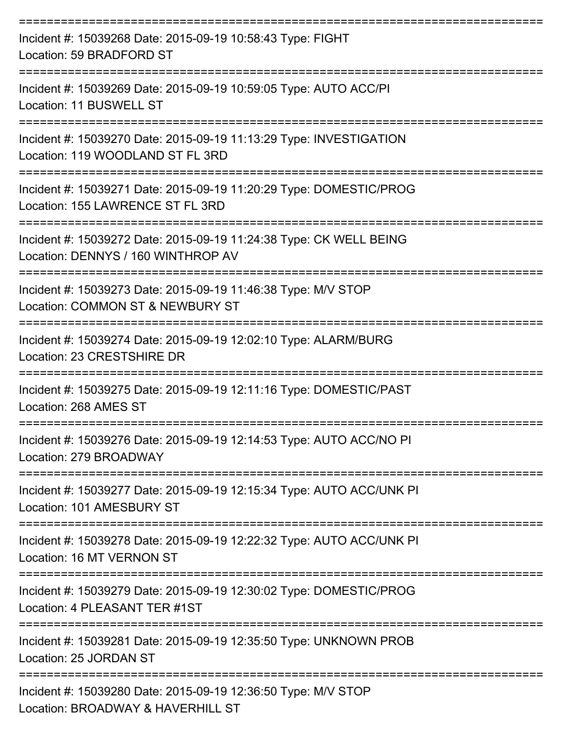| Incident #: 15039268 Date: 2015-09-19 10:58:43 Type: FIGHT<br>Location: 59 BRADFORD ST                   |
|----------------------------------------------------------------------------------------------------------|
| Incident #: 15039269 Date: 2015-09-19 10:59:05 Type: AUTO ACC/PI<br>Location: 11 BUSWELL ST              |
| Incident #: 15039270 Date: 2015-09-19 11:13:29 Type: INVESTIGATION<br>Location: 119 WOODLAND ST FL 3RD   |
| Incident #: 15039271 Date: 2015-09-19 11:20:29 Type: DOMESTIC/PROG<br>Location: 155 LAWRENCE ST FL 3RD   |
| Incident #: 15039272 Date: 2015-09-19 11:24:38 Type: CK WELL BEING<br>Location: DENNYS / 160 WINTHROP AV |
| Incident #: 15039273 Date: 2015-09-19 11:46:38 Type: M/V STOP<br>Location: COMMON ST & NEWBURY ST        |
| Incident #: 15039274 Date: 2015-09-19 12:02:10 Type: ALARM/BURG<br>Location: 23 CRESTSHIRE DR            |
| Incident #: 15039275 Date: 2015-09-19 12:11:16 Type: DOMESTIC/PAST<br>Location: 268 AMES ST              |
| Incident #: 15039276 Date: 2015-09-19 12:14:53 Type: AUTO ACC/NO PI<br>Location: 279 BROADWAY            |
| Incident #: 15039277 Date: 2015-09-19 12:15:34 Type: AUTO ACC/UNK PI<br>Location: 101 AMESBURY ST        |
| Incident #: 15039278 Date: 2015-09-19 12:22:32 Type: AUTO ACC/UNK PI<br>Location: 16 MT VERNON ST        |
| Incident #: 15039279 Date: 2015-09-19 12:30:02 Type: DOMESTIC/PROG<br>Location: 4 PLEASANT TER #1ST      |
| Incident #: 15039281 Date: 2015-09-19 12:35:50 Type: UNKNOWN PROB<br>Location: 25 JORDAN ST              |
| Incident #: 15039280 Date: 2015-09-19 12:36:50 Type: M/V STOP<br>Location: BROADWAY & HAVERHILL ST       |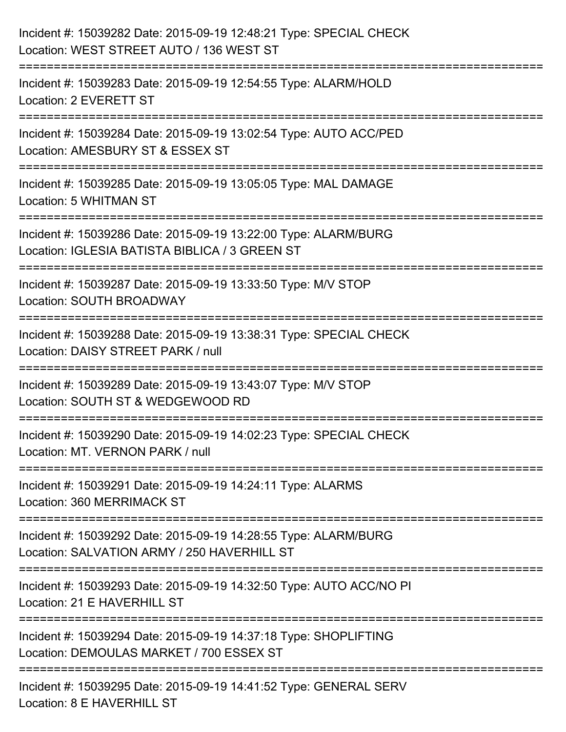| Incident #: 15039282 Date: 2015-09-19 12:48:21 Type: SPECIAL CHECK<br>Location: WEST STREET AUTO / 136 WEST ST                       |
|--------------------------------------------------------------------------------------------------------------------------------------|
| Incident #: 15039283 Date: 2015-09-19 12:54:55 Type: ALARM/HOLD<br>Location: 2 EVERETT ST                                            |
| Incident #: 15039284 Date: 2015-09-19 13:02:54 Type: AUTO ACC/PED<br>Location: AMESBURY ST & ESSEX ST                                |
| Incident #: 15039285 Date: 2015-09-19 13:05:05 Type: MAL DAMAGE<br>Location: 5 WHITMAN ST<br>.-------------                          |
| Incident #: 15039286 Date: 2015-09-19 13:22:00 Type: ALARM/BURG<br>Location: IGLESIA BATISTA BIBLICA / 3 GREEN ST                    |
| Incident #: 15039287 Date: 2015-09-19 13:33:50 Type: M/V STOP<br>Location: SOUTH BROADWAY                                            |
| Incident #: 15039288 Date: 2015-09-19 13:38:31 Type: SPECIAL CHECK<br>Location: DAISY STREET PARK / null                             |
| Incident #: 15039289 Date: 2015-09-19 13:43:07 Type: M/V STOP<br>Location: SOUTH ST & WEDGEWOOD RD                                   |
| Incident #: 15039290 Date: 2015-09-19 14:02:23 Type: SPECIAL CHECK<br>Location: MT. VERNON PARK / null                               |
| Incident #: 15039291 Date: 2015-09-19 14:24:11 Type: ALARMS<br>Location: 360 MERRIMACK ST                                            |
| Incident #: 15039292 Date: 2015-09-19 14:28:55 Type: ALARM/BURG<br>Location: SALVATION ARMY / 250 HAVERHILL ST                       |
| ------------------------------<br>Incident #: 15039293 Date: 2015-09-19 14:32:50 Type: AUTO ACC/NO PI<br>Location: 21 E HAVERHILL ST |
| Incident #: 15039294 Date: 2015-09-19 14:37:18 Type: SHOPLIFTING<br>Location: DEMOULAS MARKET / 700 ESSEX ST                         |
| Incident #: 15039295 Date: 2015-09-19 14:41:52 Type: GENERAL SERV<br>Location: 8 E HAVERHILL ST                                      |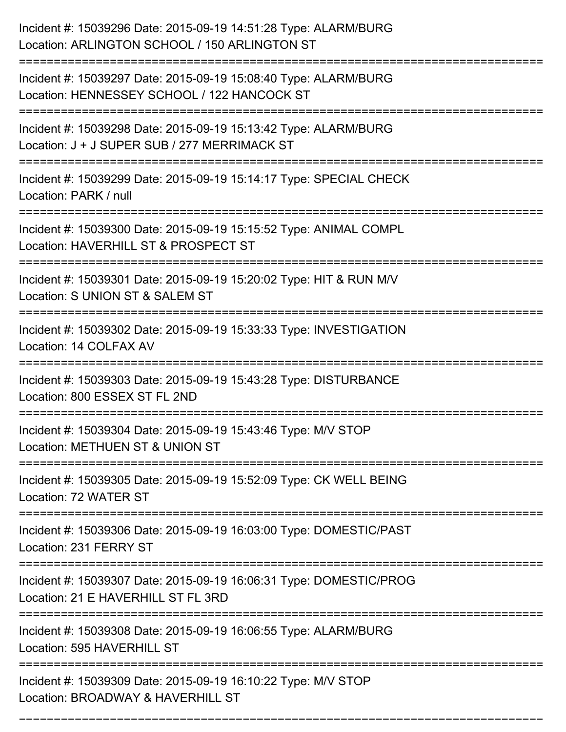| Incident #: 15039296 Date: 2015-09-19 14:51:28 Type: ALARM/BURG<br>Location: ARLINGTON SCHOOL / 150 ARLINGTON ST                    |
|-------------------------------------------------------------------------------------------------------------------------------------|
| Incident #: 15039297 Date: 2015-09-19 15:08:40 Type: ALARM/BURG<br>Location: HENNESSEY SCHOOL / 122 HANCOCK ST                      |
| Incident #: 15039298 Date: 2015-09-19 15:13:42 Type: ALARM/BURG<br>Location: J + J SUPER SUB / 277 MERRIMACK ST                     |
| Incident #: 15039299 Date: 2015-09-19 15:14:17 Type: SPECIAL CHECK<br>Location: PARK / null                                         |
| Incident #: 15039300 Date: 2015-09-19 15:15:52 Type: ANIMAL COMPL<br>Location: HAVERHILL ST & PROSPECT ST                           |
| Incident #: 15039301 Date: 2015-09-19 15:20:02 Type: HIT & RUN M/V<br>Location: S UNION ST & SALEM ST                               |
| Incident #: 15039302 Date: 2015-09-19 15:33:33 Type: INVESTIGATION<br>Location: 14 COLFAX AV                                        |
| :=============================<br>Incident #: 15039303 Date: 2015-09-19 15:43:28 Type: DISTURBANCE<br>Location: 800 ESSEX ST FL 2ND |
| Incident #: 15039304 Date: 2015-09-19 15:43:46 Type: M/V STOP<br>Location: METHUEN ST & UNION ST                                    |
| Incident #: 15039305 Date: 2015-09-19 15:52:09 Type: CK WELL BEING<br>Location: 72 WATER ST                                         |
| Incident #: 15039306 Date: 2015-09-19 16:03:00 Type: DOMESTIC/PAST<br>Location: 231 FERRY ST                                        |
| Incident #: 15039307 Date: 2015-09-19 16:06:31 Type: DOMESTIC/PROG<br>Location: 21 E HAVERHILL ST FL 3RD                            |
| Incident #: 15039308 Date: 2015-09-19 16:06:55 Type: ALARM/BURG<br>Location: 595 HAVERHILL ST                                       |
| Incident #: 15039309 Date: 2015-09-19 16:10:22 Type: M/V STOP<br>Location: BROADWAY & HAVERHILL ST                                  |

===========================================================================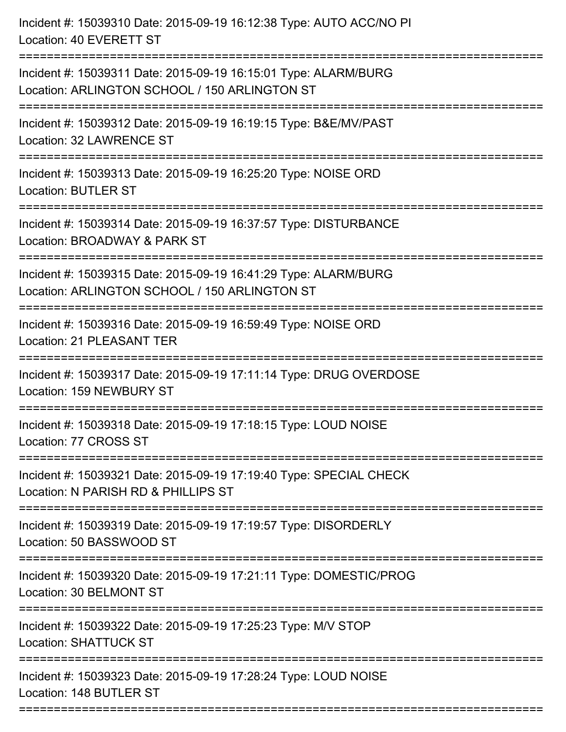| ====================================<br>------------------------------<br>============================ | Incident #: 15039310 Date: 2015-09-19 16:12:38 Type: AUTO ACC/NO PI<br>Location: 40 EVERETT ST                   |
|--------------------------------------------------------------------------------------------------------|------------------------------------------------------------------------------------------------------------------|
|                                                                                                        | Incident #: 15039311 Date: 2015-09-19 16:15:01 Type: ALARM/BURG<br>Location: ARLINGTON SCHOOL / 150 ARLINGTON ST |
|                                                                                                        | Incident #: 15039312 Date: 2015-09-19 16:19:15 Type: B&E/MV/PAST<br>Location: 32 LAWRENCE ST                     |
|                                                                                                        | Incident #: 15039313 Date: 2015-09-19 16:25:20 Type: NOISE ORD<br><b>Location: BUTLER ST</b>                     |
|                                                                                                        | Incident #: 15039314 Date: 2015-09-19 16:37:57 Type: DISTURBANCE<br>Location: BROADWAY & PARK ST                 |
|                                                                                                        | Incident #: 15039315 Date: 2015-09-19 16:41:29 Type: ALARM/BURG<br>Location: ARLINGTON SCHOOL / 150 ARLINGTON ST |
|                                                                                                        | Incident #: 15039316 Date: 2015-09-19 16:59:49 Type: NOISE ORD<br><b>Location: 21 PLEASANT TER</b>               |
|                                                                                                        | Incident #: 15039317 Date: 2015-09-19 17:11:14 Type: DRUG OVERDOSE<br>Location: 159 NEWBURY ST                   |
|                                                                                                        | Incident #: 15039318 Date: 2015-09-19 17:18:15 Type: LOUD NOISE<br>Location: 77 CROSS ST                         |
|                                                                                                        | Incident #: 15039321 Date: 2015-09-19 17:19:40 Type: SPECIAL CHECK<br>Location: N PARISH RD & PHILLIPS ST        |
|                                                                                                        | Incident #: 15039319 Date: 2015-09-19 17:19:57 Type: DISORDERLY<br>Location: 50 BASSWOOD ST                      |
|                                                                                                        | Incident #: 15039320 Date: 2015-09-19 17:21:11 Type: DOMESTIC/PROG<br>Location: 30 BELMONT ST                    |
|                                                                                                        | Incident #: 15039322 Date: 2015-09-19 17:25:23 Type: M/V STOP<br><b>Location: SHATTUCK ST</b>                    |
|                                                                                                        | Incident #: 15039323 Date: 2015-09-19 17:28:24 Type: LOUD NOISE<br>Location: 148 BUTLER ST                       |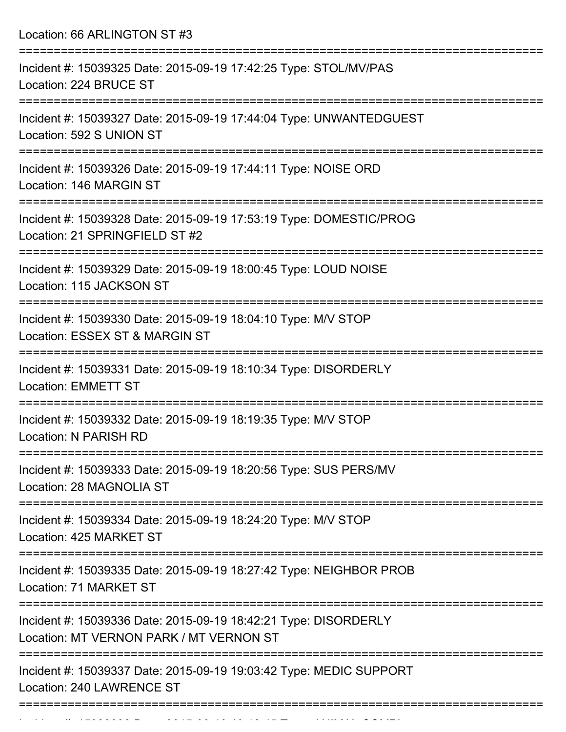Location: 66 ARLINGTON ST #3

| Incident #: 15039325 Date: 2015-09-19 17:42:25 Type: STOL/MV/PAS<br>Location: 224 BRUCE ST                      |
|-----------------------------------------------------------------------------------------------------------------|
| Incident #: 15039327 Date: 2015-09-19 17:44:04 Type: UNWANTEDGUEST<br>Location: 592 S UNION ST                  |
| Incident #: 15039326 Date: 2015-09-19 17:44:11 Type: NOISE ORD<br>Location: 146 MARGIN ST                       |
| Incident #: 15039328 Date: 2015-09-19 17:53:19 Type: DOMESTIC/PROG<br>Location: 21 SPRINGFIELD ST #2            |
| Incident #: 15039329 Date: 2015-09-19 18:00:45 Type: LOUD NOISE<br>Location: 115 JACKSON ST                     |
| Incident #: 15039330 Date: 2015-09-19 18:04:10 Type: M/V STOP<br>Location: ESSEX ST & MARGIN ST                 |
| Incident #: 15039331 Date: 2015-09-19 18:10:34 Type: DISORDERLY<br><b>Location: EMMETT ST</b>                   |
| Incident #: 15039332 Date: 2015-09-19 18:19:35 Type: M/V STOP<br>Location: N PARISH RD                          |
| Incident #: 15039333 Date: 2015-09-19 18:20:56 Type: SUS PERS/MV<br>Location: 28 MAGNOLIA ST                    |
| -------------------<br>Incident #: 15039334 Date: 2015-09-19 18:24:20 Type: M/V STOP<br>Location: 425 MARKET ST |
| Incident #: 15039335 Date: 2015-09-19 18:27:42 Type: NEIGHBOR PROB<br>Location: 71 MARKET ST                    |
| Incident #: 15039336 Date: 2015-09-19 18:42:21 Type: DISORDERLY<br>Location: MT VERNON PARK / MT VERNON ST      |
| Incident #: 15039337 Date: 2015-09-19 19:03:42 Type: MEDIC SUPPORT<br>Location: 240 LAWRENCE ST                 |
|                                                                                                                 |

Incident #: 15039338 Date: 2015 09 19 19:12:45 Type: ANIMAL COMPL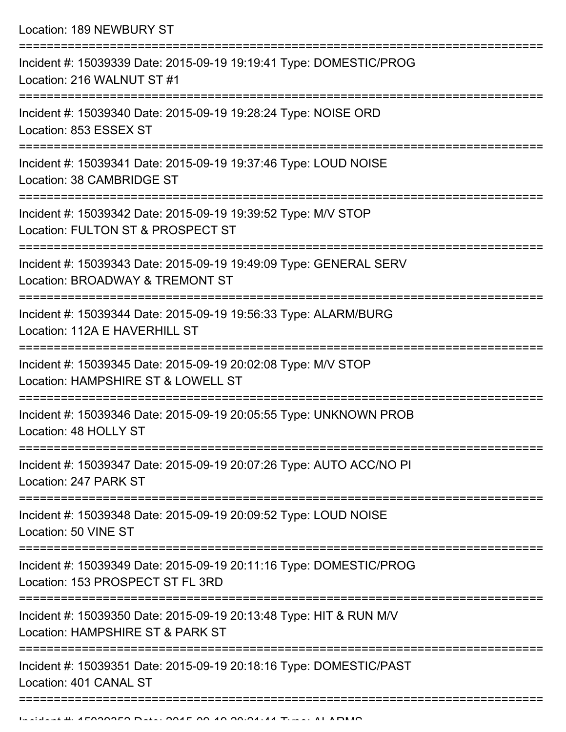| Location: 189 NEWBURY ST                                                                                                           |
|------------------------------------------------------------------------------------------------------------------------------------|
| Incident #: 15039339 Date: 2015-09-19 19:19:41 Type: DOMESTIC/PROG<br>Location: 216 WALNUT ST #1                                   |
| Incident #: 15039340 Date: 2015-09-19 19:28:24 Type: NOISE ORD<br>Location: 853 ESSEX ST                                           |
| Incident #: 15039341 Date: 2015-09-19 19:37:46 Type: LOUD NOISE<br>Location: 38 CAMBRIDGE ST                                       |
| Incident #: 15039342 Date: 2015-09-19 19:39:52 Type: M/V STOP<br>Location: FULTON ST & PROSPECT ST<br>====================         |
| Incident #: 15039343 Date: 2015-09-19 19:49:09 Type: GENERAL SERV<br>Location: BROADWAY & TREMONT ST                               |
| Incident #: 15039344 Date: 2015-09-19 19:56:33 Type: ALARM/BURG<br>Location: 112A E HAVERHILL ST<br>============================== |
| Incident #: 15039345 Date: 2015-09-19 20:02:08 Type: M/V STOP<br>Location: HAMPSHIRE ST & LOWELL ST                                |
| Incident #: 15039346 Date: 2015-09-19 20:05:55 Type: UNKNOWN PROB<br>Location: 48 HOLLY ST                                         |
| Incident #: 15039347 Date: 2015-09-19 20:07:26 Type: AUTO ACC/NO PI<br>Location: 247 PARK ST                                       |
| Incident #: 15039348 Date: 2015-09-19 20:09:52 Type: LOUD NOISE<br>Location: 50 VINE ST                                            |
| Incident #: 15039349 Date: 2015-09-19 20:11:16 Type: DOMESTIC/PROG<br>Location: 153 PROSPECT ST FL 3RD                             |
| Incident #: 15039350 Date: 2015-09-19 20:13:48 Type: HIT & RUN M/V<br>Location: HAMPSHIRE ST & PARK ST                             |
| Incident #: 15039351 Date: 2015-09-19 20:18:16 Type: DOMESTIC/PAST<br>Location: 401 CANAL ST                                       |
|                                                                                                                                    |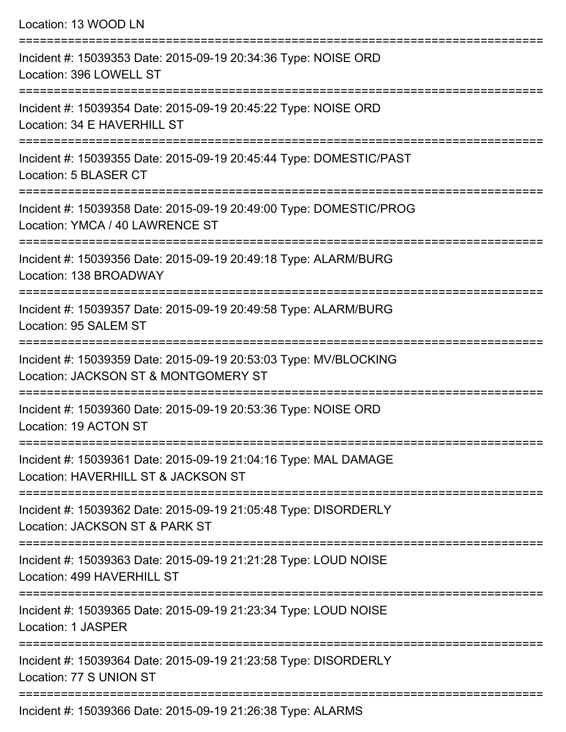| Location: 13 WOOD LN                                                                                     |
|----------------------------------------------------------------------------------------------------------|
| Incident #: 15039353 Date: 2015-09-19 20:34:36 Type: NOISE ORD<br>Location: 396 LOWELL ST                |
| Incident #: 15039354 Date: 2015-09-19 20:45:22 Type: NOISE ORD<br>Location: 34 E HAVERHILL ST            |
| Incident #: 15039355 Date: 2015-09-19 20:45:44 Type: DOMESTIC/PAST<br>Location: 5 BLASER CT              |
| Incident #: 15039358 Date: 2015-09-19 20:49:00 Type: DOMESTIC/PROG<br>Location: YMCA / 40 LAWRENCE ST    |
| Incident #: 15039356 Date: 2015-09-19 20:49:18 Type: ALARM/BURG<br>Location: 138 BROADWAY                |
| Incident #: 15039357 Date: 2015-09-19 20:49:58 Type: ALARM/BURG<br>Location: 95 SALEM ST                 |
| Incident #: 15039359 Date: 2015-09-19 20:53:03 Type: MV/BLOCKING<br>Location: JACKSON ST & MONTGOMERY ST |
| Incident #: 15039360 Date: 2015-09-19 20:53:36 Type: NOISE ORD<br>Location: 19 ACTON ST                  |
| Incident #: 15039361 Date: 2015-09-19 21:04:16 Type: MAL DAMAGE<br>Location: HAVERHILL ST & JACKSON ST   |
| Incident #: 15039362 Date: 2015-09-19 21:05:48 Type: DISORDERLY<br>Location: JACKSON ST & PARK ST        |
| Incident #: 15039363 Date: 2015-09-19 21:21:28 Type: LOUD NOISE<br>Location: 499 HAVERHILL ST            |
| Incident #: 15039365 Date: 2015-09-19 21:23:34 Type: LOUD NOISE<br>Location: 1 JASPER                    |
| Incident #: 15039364 Date: 2015-09-19 21:23:58 Type: DISORDERLY<br>Location: 77 S UNION ST               |
| $Incidont + 15030366$ Data: $2015.00$ , $10.21.26.38$ Tuno: ALADMC                                       |

Incident #: 15039366 Date: 2015-09-19 21:26:38 Type: ALARMS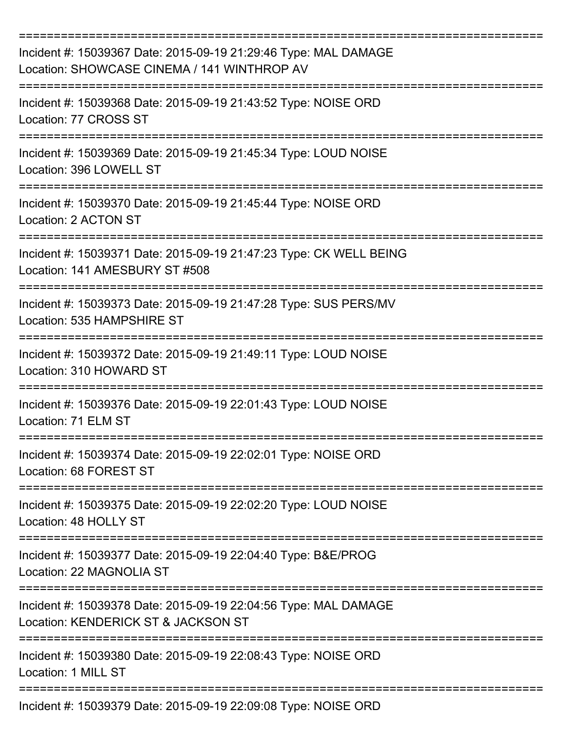| Incident #: 15039367 Date: 2015-09-19 21:29:46 Type: MAL DAMAGE<br>Location: SHOWCASE CINEMA / 141 WINTHROP AV<br>===================== |
|-----------------------------------------------------------------------------------------------------------------------------------------|
| Incident #: 15039368 Date: 2015-09-19 21:43:52 Type: NOISE ORD<br>Location: 77 CROSS ST                                                 |
| Incident #: 15039369 Date: 2015-09-19 21:45:34 Type: LOUD NOISE<br>Location: 396 LOWELL ST                                              |
| Incident #: 15039370 Date: 2015-09-19 21:45:44 Type: NOISE ORD<br>Location: 2 ACTON ST<br>----------                                    |
| Incident #: 15039371 Date: 2015-09-19 21:47:23 Type: CK WELL BEING<br>Location: 141 AMESBURY ST #508                                    |
| Incident #: 15039373 Date: 2015-09-19 21:47:28 Type: SUS PERS/MV<br>Location: 535 HAMPSHIRE ST                                          |
| Incident #: 15039372 Date: 2015-09-19 21:49:11 Type: LOUD NOISE<br>Location: 310 HOWARD ST                                              |
| Incident #: 15039376 Date: 2015-09-19 22:01:43 Type: LOUD NOISE<br>Location: 71 ELM ST                                                  |
| Incident #: 15039374 Date: 2015-09-19 22:02:01 Type: NOISE ORD<br>Location: 68 FOREST ST                                                |
| Incident #: 15039375 Date: 2015-09-19 22:02:20 Type: LOUD NOISE<br>Location: 48 HOLLY ST                                                |
| Incident #: 15039377 Date: 2015-09-19 22:04:40 Type: B&E/PROG<br>Location: 22 MAGNOLIA ST                                               |
| Incident #: 15039378 Date: 2015-09-19 22:04:56 Type: MAL DAMAGE<br>Location: KENDERICK ST & JACKSON ST                                  |
| Incident #: 15039380 Date: 2015-09-19 22:08:43 Type: NOISE ORD<br>Location: 1 MILL ST                                                   |
| Incident #: 15039379 Date: 2015-09-19 22:09:08 Type: NOISE ORD                                                                          |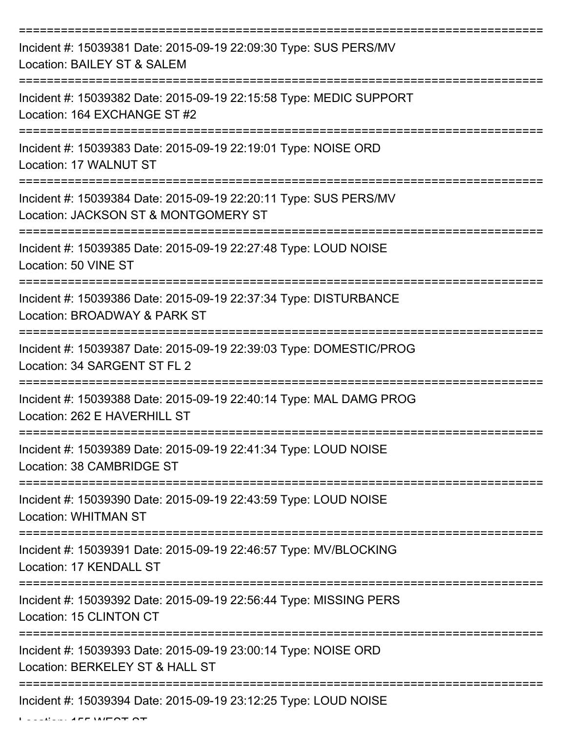| Incident #: 15039381 Date: 2015-09-19 22:09:30 Type: SUS PERS/MV<br>Location: BAILEY ST & SALEM                   |
|-------------------------------------------------------------------------------------------------------------------|
| Incident #: 15039382 Date: 2015-09-19 22:15:58 Type: MEDIC SUPPORT<br>Location: 164 EXCHANGE ST #2                |
| Incident #: 15039383 Date: 2015-09-19 22:19:01 Type: NOISE ORD<br>Location: 17 WALNUT ST                          |
| Incident #: 15039384 Date: 2015-09-19 22:20:11 Type: SUS PERS/MV<br>Location: JACKSON ST & MONTGOMERY ST          |
| Incident #: 15039385 Date: 2015-09-19 22:27:48 Type: LOUD NOISE<br>Location: 50 VINE ST                           |
| Incident #: 15039386 Date: 2015-09-19 22:37:34 Type: DISTURBANCE<br>Location: BROADWAY & PARK ST                  |
| Incident #: 15039387 Date: 2015-09-19 22:39:03 Type: DOMESTIC/PROG<br>Location: 34 SARGENT ST FL 2<br>=========== |
| Incident #: 15039388 Date: 2015-09-19 22:40:14 Type: MAL DAMG PROG<br>Location: 262 E HAVERHILL ST                |
| Incident #: 15039389 Date: 2015-09-19 22:41:34 Type: LOUD NOISE<br>Location: 38 CAMBRIDGE ST                      |
| Incident #: 15039390 Date: 2015-09-19 22:43:59 Type: LOUD NOISE<br><b>Location: WHITMAN ST</b>                    |
| Incident #: 15039391 Date: 2015-09-19 22:46:57 Type: MV/BLOCKING<br>Location: 17 KENDALL ST                       |
| Incident #: 15039392 Date: 2015-09-19 22:56:44 Type: MISSING PERS<br>Location: 15 CLINTON CT                      |
| Incident #: 15039393 Date: 2015-09-19 23:00:14 Type: NOISE ORD<br>Location: BERKELEY ST & HALL ST                 |
| Incident #: 15039394 Date: 2015-09-19 23:12:25 Type: LOUD NOISE                                                   |